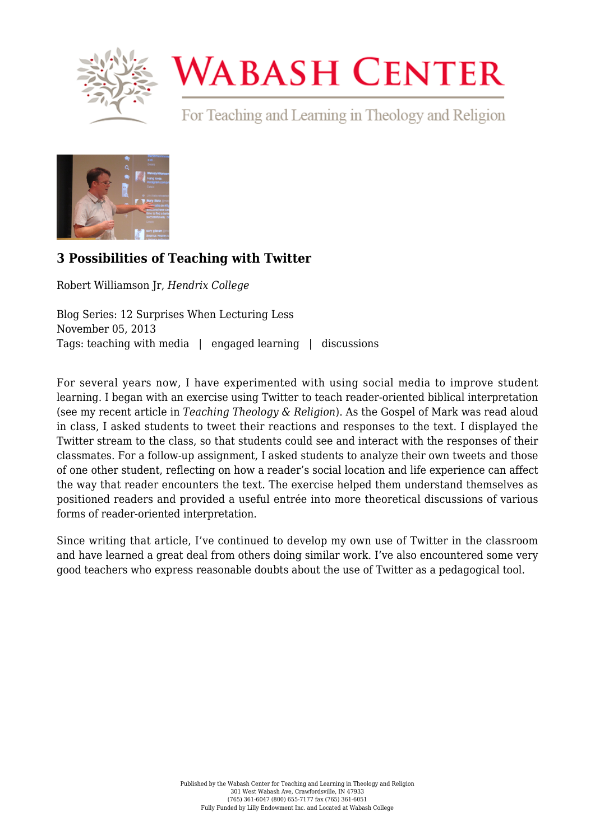

## **WABASH CENTER**

For Teaching and Learning in Theology and Religion



## **[3 Possibilities of Teaching with Twitter](https://www.wabashcenter.wabash.edu/2013/11/3-possibilities-of-teaching-with-twitter/)**

Robert Williamson Jr, *Hendrix College*

Blog Series: 12 Surprises When Lecturing Less November 05, 2013 Tags: teaching with media | engaged learning | discussions

For several years now, I have experimented with using social media to improve student learning. I began with an exercise using Twitter to teach reader-oriented biblical interpretation (see my [recent article](http://onlinelibrary.wiley.com/doi/10.1111/teth.12049/abstract) in *Teaching Theology & Religion*). As the Gospel of Mark was read aloud in class, I asked students to tweet their reactions and responses to the text. I displayed the Twitter stream to the class, so that students could see and interact with the responses of their classmates. For a follow-up assignment, I asked students to analyze their own tweets and those of one other student, reflecting on how a reader's social location and life experience can affect the way that reader encounters the text. The exercise helped them understand themselves as positioned readers and provided a useful entrée into more theoretical discussions of various forms of reader-oriented interpretation.

Since writing that article, I've continued to develop my own use of Twitter in the classroom and have learned a great deal from others doing similar work. I've also encountered some very good teachers who express reasonable doubts about the use of Twitter as a pedagogical tool.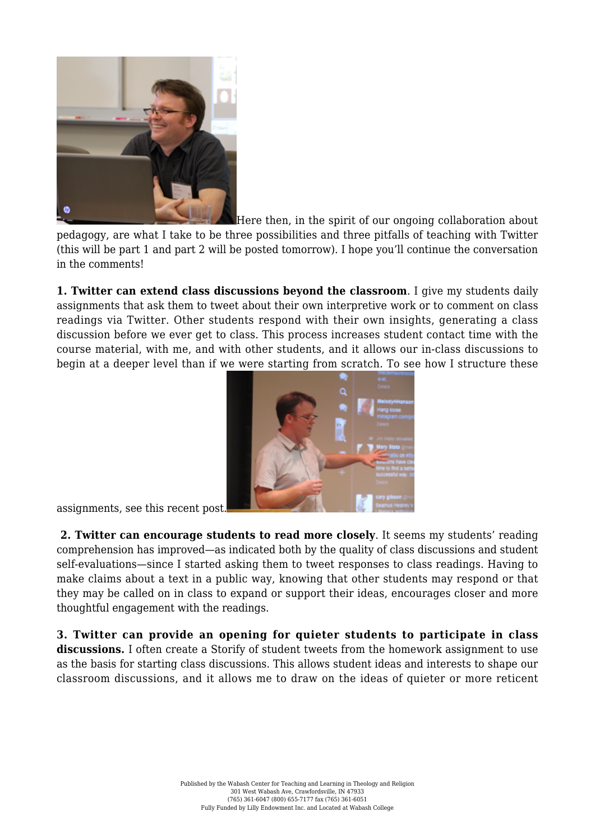

Here then, in the spirit of our ongoing collaboration about

pedagogy, are what I take to be three possibilities and three pitfalls of teaching with Twitter (this will be part 1 and part 2 will be posted tomorrow). I hope you'll continue the conversation in the comments!

**1. Twitter can extend class discussions beyond the classroom**. I give my students [daily](https://www.dropbox.com/s/03v8pkvnbr4ukkw/11_DIA%20for%20Sep%2025.pdf) [assignments](https://www.dropbox.com/s/03v8pkvnbr4ukkw/11_DIA%20for%20Sep%2025.pdf) that ask them to tweet about their own interpretive work or to comment on class readings via Twitter. Other students respond with their own insights, generating a class discussion before we ever get to class. This process increases student contact time with the course material, with me, and with other students, and it allows our in-class discussions to begin at a deeper level than if we were starting from scratch. To see how I structure these



assignments, see this recent post.

 **2. Twitter can encourage students to read more closely**. It seems my students' reading comprehension has improved—as indicated both by the quality of class discussions and student self-evaluations—since I started asking them to tweet responses to class readings. Having to make claims about a text in a public way, knowing that other students may respond or that they may be called on in class to expand or support their ideas, encourages closer and more thoughtful engagement with the readings.

**3. Twitter can provide an opening for quieter students to participate in class** discussions. I often create a Storify of student tweets from the homework assignment to use as the basis for starting class discussions. This allows student ideas and interests to shape our classroom discussions, and it allows me to draw on the ideas of quieter or more reticent